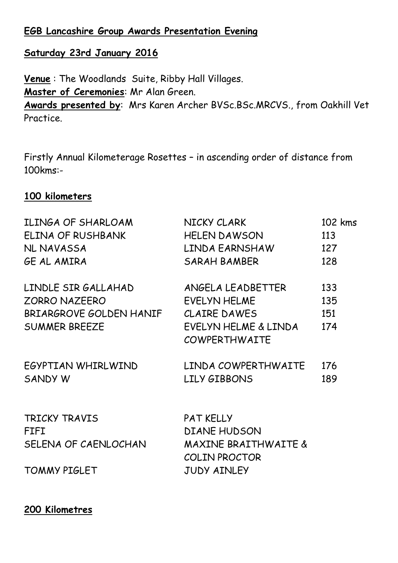# **EGB Lancashire Group Awards Presentation Evening**

# **Saturday 23rd January 2016**

**Venue** : The Woodlands Suite, Ribby Hall Villages. **Master of Ceremonies**: Mr Alan Green. **Awards presented by**: Mrs Karen Archer BVSc.BSc.MRCVS., from Oakhill Vet Practice.

Firstly Annual Kilometerage Rosettes – in ascending order of distance from 100kms:-

## **100 kilometers**

| ILINGA OF SHARLOAM                   | NICKY CLARK          | 102 kms |
|--------------------------------------|----------------------|---------|
| ELINA OF RUSHBANK                    | <b>HELEN DAWSON</b>  | 113     |
| NL NAVASSA                           | LINDA EARNSHAW 127   |         |
| GE AL AMIRA                          | SARAH BAMBER         | 128     |
| LINDLE SIR GALLAHAD                  | ANGELA LEADBETTER    | 133     |
| <b>ZORRO NAZEERO</b>                 | EVELYN HELME         | 135     |
| BRIARGROVE GOLDEN HANIF CLAIRE DAWES |                      | 151     |
| <b>SUMMER BREEZE</b>                 | EVELYN HELME & LINDA | 174     |
|                                      | <b>COWPERTHWAITE</b> |         |
| EGYPTIAN WHIRLWIND                   | LINDA COWPERTHWAITE  | 176     |
| SANDY W                              | LILY GIBBONS         | 189     |
|                                      |                      |         |
| TRICKY TRAVIS                        | <b>PAT KELLY</b>     |         |
| <b>FIFI</b>                          | <b>DIANE HUDSON</b>  |         |
| SELENA OF CAENLOCHAN                 | MAXINE BRAITHWAITE & |         |
|                                      | <b>COLIN PROCTOR</b> |         |
| <b>TOMMY PIGLET</b>                  | <b>JUDY AINLEY</b>   |         |

### **200 Kilometres**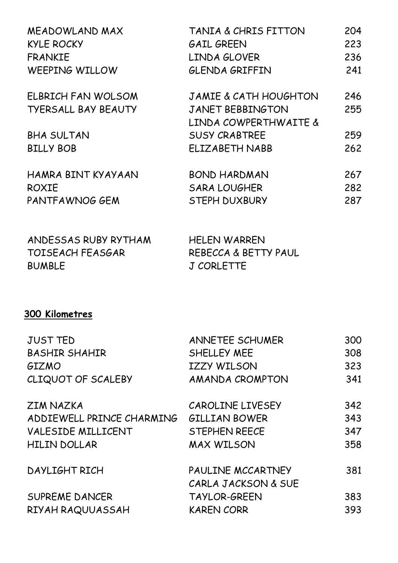| MEADOWLAND MAX             | TANIA & CHRIS FITTON             | 204 |
|----------------------------|----------------------------------|-----|
| <b>KYLE ROCKY</b>          | <b>GAIL GREEN</b>                | 223 |
| <b>FRANKIE</b>             | LINDA GLOVER                     | 236 |
| WEEPING WILLOW             | <b>GLENDA GRIFFIN</b>            | 241 |
| ELBRICH FAN WOLSOM         | <b>JAMIE &amp; CATH HOUGHTON</b> | 246 |
| <b>TYERSALL BAY BEAUTY</b> | <b>JANET BEBBINGTON</b>          | 255 |
|                            | LINDA COWPERTHWAITE &            |     |
| <b>BHA SULTAN</b>          | <b>SUSY CRABTREE</b>             | 259 |
| <b>BILLY BOB</b>           | <b>ELIZABETH NABB</b>            | 262 |
| HAMRA BINT KYAYAAN         | <b>BOND HARDMAN</b>              | 267 |
| <b>ROXIE</b>               | <b>SARA LOUGHER</b>              | 282 |
| PANTFAWNOG GEM             | <b>STEPH DUXBURY</b>             | 287 |

ANDESSAS RUBY RYTHAM HELEN WARREN TOISEACH FEASGAR REBECCA & BETTY PAUL BUMBLE J CORLETTE

# **300 Kilometres**

| <b>JUST TED</b>           | ANNETEE SCHUMER      | 300 |
|---------------------------|----------------------|-----|
| <b>BASHIR SHAHIR</b>      | SHELLEY MEE          | 308 |
| GIZMO                     | <b>IZZY WILSON</b>   | 323 |
| CLIQUOT OF SCALEBY        | AMANDA CROMPTON      | 341 |
| <b>ZIM NAZKA</b>          | CAROLINE LIVESEY     | 342 |
| ADDIEWELL PRINCE CHARMING | <b>GILLIAN BOWER</b> | 343 |
| VALESIDE MILLICENT        | STEPHEN REECE        | 347 |
| <b>HILIN DOLLAR</b>       | <b>MAX WILSON</b>    | 358 |
| DAYLIGHT RICH             | PAULINE MCCARTNEY    | 381 |
|                           | CARLA JACKSON & SUE  |     |
| <b>SUPREME DANCER</b>     | <b>TAYLOR-GREEN</b>  | 383 |
| RIYAH RAQUUASSAH          | <b>KAREN CORR</b>    | 393 |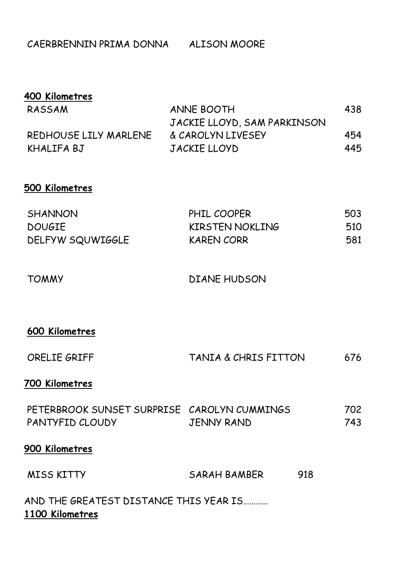CAERBRENNIN PRIMA DONNA ALISON MOORE

| 400 Kilometres        |                             |     |
|-----------------------|-----------------------------|-----|
| RASSAM                | ANNE BOOTH                  | 438 |
|                       | JACKIE LLOYD, SAM PARKINSON |     |
| REDHOUSE LILY MARLENE | & CAROLYN LIVESEY           | 454 |
| KHALIFA BJ            | JACKIE LLOYD                | 445 |

## **500 Kilometres**

| <b>SHANNON</b>   | PHIL COOPER            | 503 |
|------------------|------------------------|-----|
| <b>DOUGIE</b>    | <b>KIRSTEN NOKLING</b> | 510 |
| DELFYW SQUWIGGLE | <b>KAREN CORR</b>      | 581 |

TOMMY DIANE HUDSON

## **600 Kilometres**

| ORELIE GRIFF<br>TANIA & CHRIS FITTON<br>676 |
|---------------------------------------------|
|---------------------------------------------|

### **700 Kilometres**

| PETERBROOK SUNSET SURPRISE CAROLYN CUMMINGS |            | 702  |
|---------------------------------------------|------------|------|
| PANTYFID CLOUDY                             | JENNY RAND | 743. |

## **900 Kilometres**

| <b>MISS KITTY</b> | SARAH BAMBER | 918 |
|-------------------|--------------|-----|
|                   |              |     |

AND THE GREATEST DISTANCE THIS YEAR IS………… **1100 Kilometres**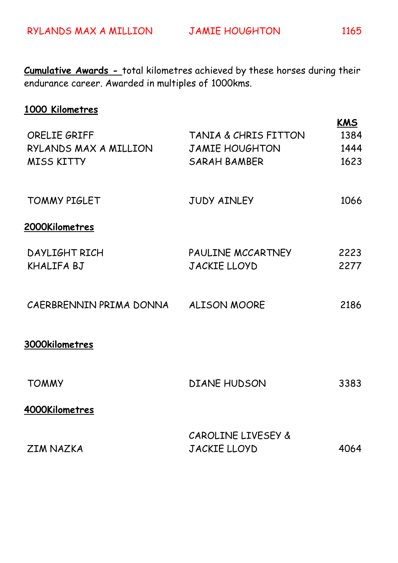**Cumulative Awards -** total kilometres achieved by these horses during their endurance career. Awarded in multiples of 1000kms.

# **1000 Kilometres**

| <b>ORELIE GRIFF</b><br>RYLANDS MAX A MILLION<br><b>MISS KITTY</b> | TANIA & CHRIS FITTON<br><b>JAMIE HOUGHTON</b><br><b>SARAH BAMBER</b> | <b>KMS</b><br>1384<br>1444<br>1623 |
|-------------------------------------------------------------------|----------------------------------------------------------------------|------------------------------------|
| <b>TOMMY PIGLET</b>                                               | <b>JUDY AINLEY</b>                                                   | 1066                               |
| 2000Kilometres                                                    |                                                                      |                                    |
| DAYLIGHT RICH<br>KHALIFA BJ                                       | PAULINE MCCARTNEY<br>JACKIE LLOYD                                    | 2223<br>2277                       |
| CAERBRENNIN PRIMA DONNA ALISON MOORE                              |                                                                      | 2186                               |
| 3000kilometres                                                    |                                                                      |                                    |
| <b>TOMMY</b>                                                      | <b>DIANE HUDSON</b>                                                  | 3383                               |
| 4000Kilometres                                                    |                                                                      |                                    |
| <b>ZIM NAZKA</b>                                                  | CAROLINE LIVESEY &<br><b>JACKIE LLOYD</b>                            | 4064                               |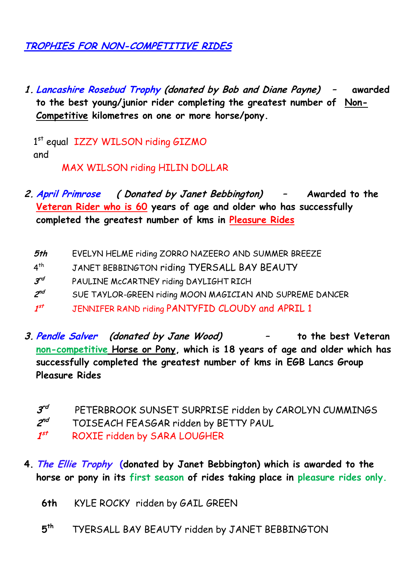# **TROPHIES FOR NON-COMPETITIVE RIDES**

**1. Lancashire Rosebud Trophy (donated by Bob and Diane Payne) – awarded to the best young/junior rider completing the greatest number of Non-Competitive kilometres on one or more horse/pony.**

1st equal IZZY WILSON riding GIZMO and

MAX WILSON riding HILIN DOLLAR

- **2. April Primrose ( Donated by Janet Bebbington) – Awarded to the Veteran Rider who is 60 years of age and older who has successfully completed the greatest number of kms in Pleasure Rides**
	- **5th** EVELYN HELME riding ZORRO NAZEERO AND SUMMER BREEZE
	- $4<sup>th</sup>$ JANET BEBBINGTON riding TYERSALL BAY BEAUTY
	- **3 rd** PAULINE McCARTNEY riding DAYLIGHT RICH
	- **2** SUE TAYLOR-GREEN riding MOON MAGICIAN AND SUPREME DANCER
	- 1st **st** JENNIFER RAND riding PANTYFID CLOUDY and APRIL 1
- **3. Pendle Salver (donated by Jane Wood) – to the best Veteran non-competitive Horse or Pony, which is 18 years of age and older which has successfully completed the greatest number of kms in EGB Lancs Group Pleasure Rides**
	- **3 rd** PETERBROOK SUNSET SURPRISE ridden by CAROLYN CUMMINGS
	- **2 nd** TOISEACH FEASGAR ridden by BETTY PAUL
	- $1^{st}$ **st** ROXIE ridden by SARA LOUGHER
- **4. The Ellie Trophy (donated by Janet Bebbington) which is awarded to the horse or pony in its first season of rides taking place in pleasure rides only.**
	- **6th** KYLE ROCKY ridden by GAIL GREEN
	- **5 th** TYERSALL BAY BEAUTY ridden by JANET BEBBINGTON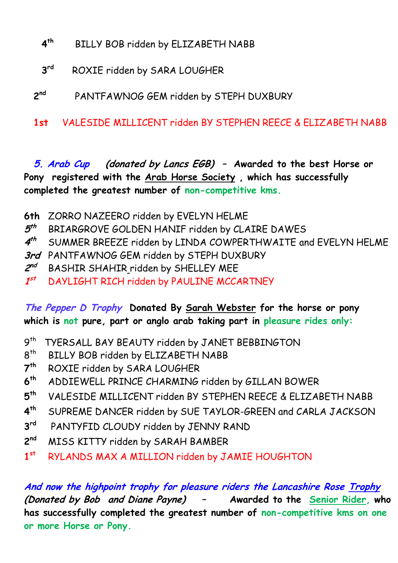- **4 th** BILLY BOB ridden by ELIZABETH NABB
- **3 rd** ROXIE ridden by SARA LOUGHER
- **2 nd** PANTFAWNOG GEM ridden by STEPH DUXBURY
- **1st** VALESIDE MILLICENT ridden BY STEPHEN REECE & ELIZABETH NABB

**5. Arab Cup (donated by Lancs EGB) – Awarded to the best Horse or Pony registered with the Arab Horse Society , which has successfully completed the greatest number of non-competitive kms.**

- **6th** ZORRO NAZEERO ridden by EVELYN HELME
- **5** BRIARGROVE GOLDEN HANIF ridden by CLAIRE DAWES
- **4 th** SUMMER BREEZE ridden by LINDA COWPERTHWAITE and EVELYN HELME
- **3rd** PANTFAWNOG GEM ridden by STEPH DUXBURY
- **2 nd** BASHIR SHAHIR ridden by SHELLEY MEE
- $1^{st}$ **st** DAYLIGHT RICH ridden by PAULINE MCCARTNEY

# **The Pepper D Trophy Donated By Sarah Webster for the horse or pony which is not pure, part or anglo arab taking part in pleasure rides only:**

- 9<sup>th</sup> TYERSALL BAY BEAUTY ridden by JANET BEBBINGTON
- $8<sup>th</sup>$ BILLY BOB ridden by ELIZABETH NABB
- **7 th** ROXIE ridden by SARA LOUGHER
- **6 th** ADDIEWELL PRINCE CHARMING ridden by GILLAN BOWER
- **5 th** VALESIDE MILLICENT ridden BY STEPHEN REECE & ELIZABETH NABB
- **4 th** SUPREME DANCER ridden by SUE TAYLOR-GREEN and CARLA JACKSON
- **3** PANTYFID CLOUDY ridden by JENNY RAND
- 2<sup>nd</sup> **MISS KITTY ridden by SARAH BAMBER**
- **1 st** RYLANDS MAX A MILLION ridden by JAMIE HOUGHTON

**And now the highpoint trophy for pleasure riders the Lancashire Rose Trophy (Donated by Bob and Diane Payne) – Awarded to the Senior Rider, who has successfully completed the greatest number of non-competitive kms on one or more Horse or Pony.**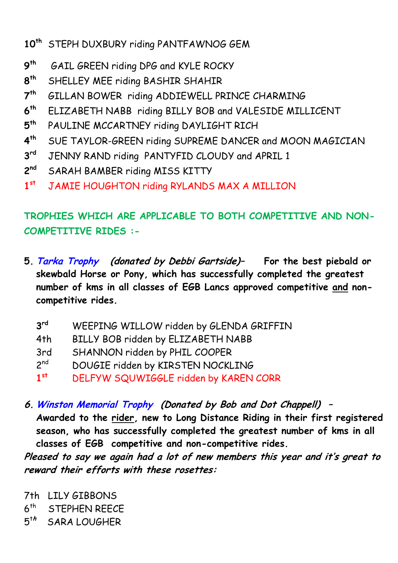- **10th** STEPH DUXBURY riding PANTFAWNOG GEM
- **9 GAIL GREEN riding DPG and KYLE ROCKY**
- **8 th** SHELLEY MEE riding BASHIR SHAHIR
- **7 th** GILLAN BOWER riding ADDIEWELL PRINCE CHARMING
- **6 th** ELIZABETH NABB riding BILLY BOB and VALESIDE MILLICENT
- **5** PAULINE MCCARTNEY riding DAYLIGHT RICH
- **4 th** SUE TAYLOR-GREEN riding SUPREME DANCER and MOON MAGICIAN
- **3** JENNY RAND riding PANTYFID CLOUDY and APRIL 1
- 2<sup>nd</sup> **SARAH BAMBER riding MISS KITTY**
- **1 st** JAMIE HOUGHTON riding RYLANDS MAX A MILLION

# **TROPHIES WHICH ARE APPLICABLE TO BOTH COMPETITIVE AND NON-COMPETITIVE RIDES :-**

**5. Tarka Trophy (donated by Debbi Gartside)– For the best piebald or skewbald Horse or Pony, which has successfully completed the greatest number of kms in all classes of EGB Lancs approved competitive and noncompetitive rides.**

| $3^{\text{rd}}$ | WEEPING WILLOW ridden by GLENDA GRIFFIN |  |  |
|-----------------|-----------------------------------------|--|--|
|                 |                                         |  |  |

- 4th BILLY BOB ridden by ELIZABETH NABB
- 3rd SHANNON ridden by PHIL COOPER
- $2<sup>nd</sup>$ DOUGIE ridden by KIRSTEN NOCKLING
- **1 st** DELFYW SQUWIGGLE ridden by KAREN CORR
- **6. Winston Memorial Trophy (Donated by Bob and Dot Chappell) –**

**Awarded to the rider, new to Long Distance Riding in their first registered season, who has successfully completed the greatest number of kms in all classes of EGB competitive and non-competitive rides.** 

**Pleased to say we again had a lot of new members this year and it's great to reward their efforts with these rosettes:**

7th LILY GIBBONS  $6<sup>th</sup>$ STEPHEN REECE 5 t**h** SARA LOUGHER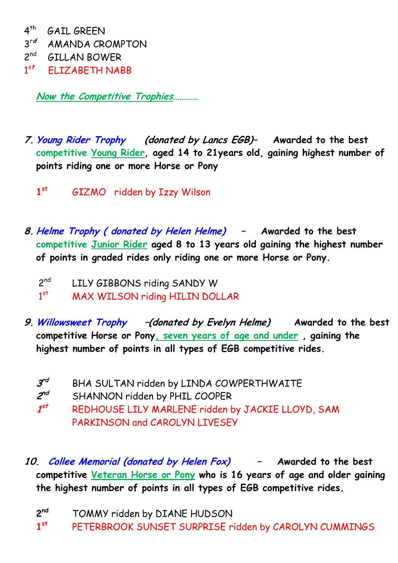$4^{\text{th}}$  GAIL GREEN 3 r**d** AMANDA CROMPTON 2 nd GILLAN BOWER  $1^{st}$ <sup>s</sup>**<sup>t</sup>** ELIZABETH NABB

**Now the Competitive Trophies…………**

**7. Young Rider Trophy (donated by Lancs EGB)– Awarded to the best competitive Young Rider, aged 14 to 21years old, gaining highest number of points riding one or more Horse or Pony**

**1 st** GIZMO ridden by Izzy Wilson

**8. Helme Trophy ( donated by Helen Helme) – Awarded to the best competitive Junior Rider aged 8 to 13 years old gaining the highest number of points in graded rides only riding one or more Horse or Pony.**

 $2<sup>nd</sup>$ LILY GIBBONS riding SANDY W

 $1^{st}$ MAX WILSON riding HILIN DOLLAR

- **9. Willowsweet Trophy –(donated by Evelyn Helme) Awarded to the best competitive Horse or Pony, seven years of age and under , gaining the highest number of points in all types of EGB competitive rides.**
	- **3** BHA SULTAN ridden by LINDA COWPERTHWAITE
	- 2<sup>nd</sup> **SHANNON ridden by PHIL COOPER**

 $1<sup>st</sup>$ REDHOUSE LILY MARLENE ridden by JACKIE LLOYD, SAM PARKINSON and CAROLYN LIVESEY

**10. Collee Memorial (donated by Helen Fox) – Awarded to the best competitive Veteran Horse or Pony who is 16 years of age and older gaining the highest number of points in all types of EGB competitive rides.** 

2<sup>nd</sup> TOMMY ridden by DIANE HUDSON

**1 st** PETERBROOK SUNSET SURPRISE ridden by CAROLYN CUMMINGS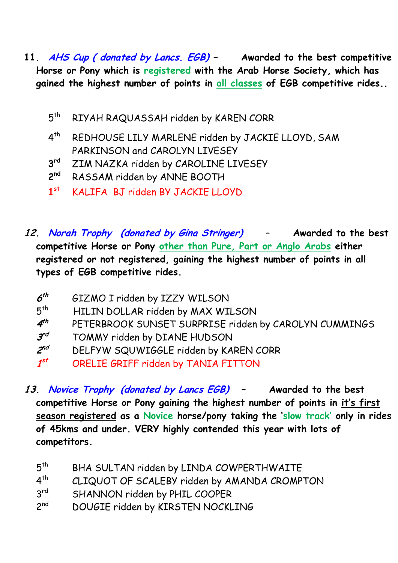- **11. AHS Cup ( donated by Lancs. EGB) – Awarded to the best competitive Horse or Pony which is registered with the Arab Horse Society, which has gained the highest number of points in all classes of EGB competitive rides..** 
	- $5<sup>th</sup>$ RIYAH RAQUASSAH ridden by KAREN CORR
	- $4^{\text{th}}$ REDHOUSE LILY MARLENE ridden by JACKIE LLOYD, SAM PARKINSON and CAROLYN LIVESEY
	- **3 ZIM NAZKA ridden by CAROLINE LIVESEY**
	- $2<sup>nd</sup>$ RASSAM ridden by ANNE BOOTH
	- **1 st** KALIFA BJ ridden BY JACKIE LLOYD
- **12. Norah Trophy (donated by Gina Stringer) – Awarded to the best competitive Horse or Pony other than Pure, Part or Anglo Arabs either registered or not registered, gaining the highest number of points in all types of EGB competitive rides.**

| $6^{th}$        | GIZMO I ridden by IZZY WILSON                         |
|-----------------|-------------------------------------------------------|
| $5^{\text{th}}$ | HILIN DOLLAR ridden by MAX WILSON                     |
| $4^{th}$        | PETERBROOK SUNSET SURPRISE ridden by CAROLYN CUMMINGS |
| $3^{rd}$        | TOMMY ridden by DIANE HUDSON                          |
| $2^{nd}$        | DELFYW SQUWIGGLE ridden by KAREN CORR                 |
| $1^{st}$        | ORELIE GRIFF ridden by TANIA FITTON                   |

- **13. Novice Trophy (donated by Lancs EGB) – Awarded to the best competitive Horse or Pony gaining the highest number of points in it's first season registered as a Novice horse/pony taking the 'slow track' only in rides of 45kms and under. VERY highly contended this year with lots of competitors.**
	- $5<sup>th</sup>$ BHA SULTAN ridden by LINDA COWPERTHWAITE
	- $4<sup>th</sup>$ CLIQUOT OF SCALEBY ridden by AMANDA CROMPTON
	- $3<sup>rd</sup>$ SHANNON ridden by PHIL COOPER
	- $2<sub>nd</sub>$ DOUGIE ridden by KIRSTEN NOCKLING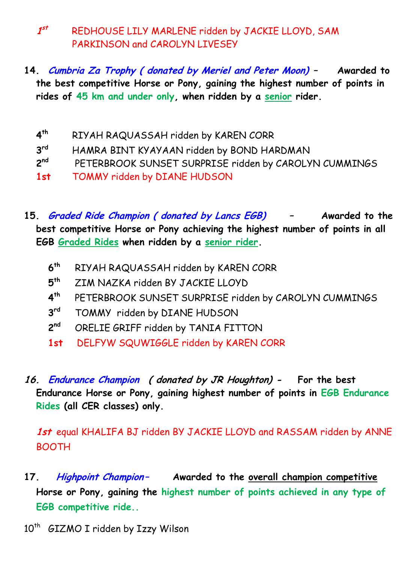**1 st** REDHOUSE LILY MARLENE ridden by JACKIE LLOYD, SAM PARKINSON and CAROLYN LIVESEY

- **14. Cumbria Za Trophy ( donated by Meriel and Peter Moon) – Awarded to the best competitive Horse or Pony, gaining the highest number of points in rides of 45 km and under only, when ridden by a senior rider.**
	- **4 th** RIYAH RAQUASSAH ridden by KAREN CORR
	- **3 rd** HAMRA BINT KYAYAAN ridden by BOND HARDMAN
	- $2<sup>nd</sup>$ PETERBROOK SUNSET SURPRISE ridden by CAROLYN CUMMINGS
	- **1st** TOMMY ridden by DIANE HUDSON
- **15. Graded Ride Champion ( donated by Lancs EGB) – Awarded to the best competitive Horse or Pony achieving the highest number of points in all EGB Graded Rides when ridden by a senior rider.** 
	- **6 th** RIYAH RAQUASSAH ridden by KAREN CORR
	- **5 th** ZIM NAZKA ridden BY JACKIE LLOYD
	- **4** PETERBROOK SUNSET SURPRISE ridden by CAROLYN CUMMINGS
	- **3** TOMMY ridden by DIANE HUDSON
	- 2<sup>nd</sup> ORELIE GRIFF ridden by TANIA FITTON
	- **1st** DELFYW SQUWIGGLE ridden by KAREN CORR
- **16. Endurance Champion ( donated by JR Houghton) For the best Endurance Horse or Pony, gaining highest number of points in EGB Endurance Rides (all CER classes) only.**

**1st** equal KHALIFA BJ ridden BY JACKIE LLOYD and RASSAM ridden by ANNE BOOTH

- **17. Highpoint Champion– Awarded to the overall champion competitive Horse or Pony, gaining the highest number of points achieved in any type of EGB competitive ride..**
- 10<sup>th</sup> GIZMO I ridden by Izzy Wilson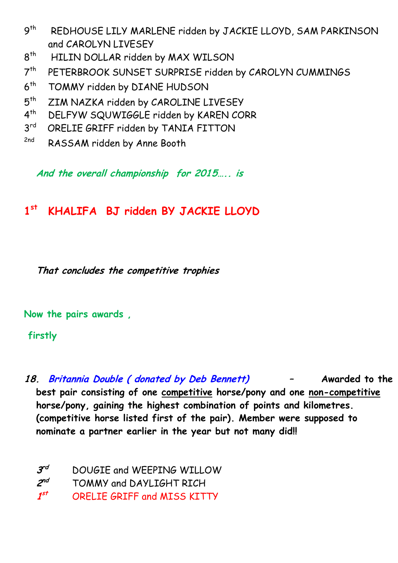- $9<sup>th</sup>$ REDHOUSE LILY MARLENE ridden by JACKIE LLOYD, SAM PARKINSON and CAROLYN LIVESEY
- $8<sup>th</sup>$ HILIN DOLLAR ridden by MAX WILSON
- $7<sup>th</sup>$ PETERBROOK SUNSET SURPRISE ridden by CAROLYN CUMMINGS
- $6<sup>th</sup>$ TOMMY ridden by DIANE HUDSON
- $5<sup>th</sup>$ ZIM NAZKA ridden by CAROLINE LIVESEY
- $4<sup>th</sup>$ DELFYW SQUWIGGLE ridden by KAREN CORR
- 3 rd ORELIE GRIFF ridden by TANIA FITTON
- <sup>2nd</sup> RASSAM ridden by Anne Booth

**And the overall championship for 2015….. is** 

#### **1 st KHALIFA BJ ridden BY JACKIE LLOYD**

**That concludes the competitive trophies**

**Now the pairs awards ,** 

**firstly** 

**18. Britannia Double ( donated by Deb Bennett) – Awarded to the best pair consisting of one competitive horse/pony and one non-competitive horse/pony, gaining the highest combination of points and kilometres. (competitive horse listed first of the pair). Member were supposed to nominate a partner earlier in the year but not many did!!** 

| $3^{rd}$ | DOUGIE and WEEPING WILLOW          |
|----------|------------------------------------|
| $2^{nd}$ | TOMMY and DAYLIGHT RICH            |
| $1^{st}$ | <b>ORELIE GRIFF and MISS KITTY</b> |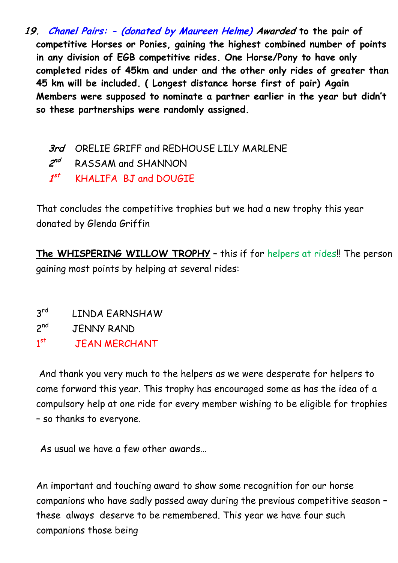**19. Chanel Pairs: - (donated by Maureen Helme) Awarded to the pair of competitive Horses or Ponies, gaining the highest combined number of points in any division of EGB competitive rides. One Horse/Pony to have only completed rides of 45km and under and the other only rides of greater than 45 km will be included. ( Longest distance horse first of pair) Again Members were supposed to nominate a partner earlier in the year but didn't so these partnerships were randomly assigned.** 

**3rd** ORELIE GRIFF and REDHOUSE LILY MARLENE **2 RASSAM and SHANNON 1 st** KHALIFA BJ and DOUGIE

That concludes the competitive trophies but we had a new trophy this year donated by Glenda Griffin

**The WHISPERING WILLOW TROPHY** – this if for helpers at rides!! The person gaining most points by helping at several rides:

 $3<sup>rd</sup>$ LINDA EARNSHAW

 $2<sup>nd</sup>$ **JENNY RAND** 

 $1<sup>st</sup>$ **JEAN MERCHANT** 

And thank you very much to the helpers as we were desperate for helpers to come forward this year. This trophy has encouraged some as has the idea of a compulsory help at one ride for every member wishing to be eligible for trophies – so thanks to everyone.

As usual we have a few other awards…

An important and touching award to show some recognition for our horse companions who have sadly passed away during the previous competitive season – these always deserve to be remembered. This year we have four such companions those being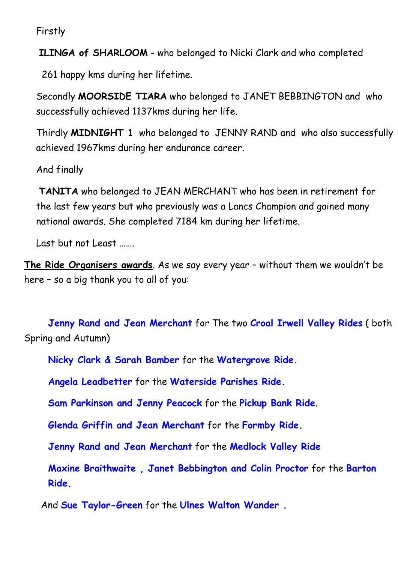Firstly

**ILINGA of SHARLOOM** - who belonged to Nicki Clark and who completed

261 happy kms during her lifetime.

Secondly **MOORSIDE TIARA** who belonged to JANET BEBBINGTON and who successfully achieved 1137kms during her life.

Thirdly **MIDNIGHT 1** who belonged to JENNY RAND and who also successfully achieved 1967kms during her endurance career.

And finally

**TANITA** who belonged to JEAN MERCHANT who has been in retirement for the last few years but who previously was a Lancs Champion and gained many national awards. She completed 7184 km during her lifetime.

Last but not Least …….

**The Ride Organisers awards**. As we say every year – without them we wouldn't be here – so a big thank you to all of you:

**Jenny Rand and Jean Merchant** for The two **Croal Irwell Valley Rides** ( both Spring and Autumn)

**Nicky Clark & Sarah Bamber** for the **Watergrove Ride.**

**Angela Leadbetter** for the **Waterside Parishes Ride.**

**Sam Parkinson and Jenny Peacock** for the **Pickup Bank Ride**.

**Glenda Griffin and Jean Merchant** for the **Formby Ride.**

**Jenny Rand and Jean Merchant** for the **Medlock Valley Ride**

**Maxine Braithwaite , Janet Bebbington and Colin Proctor** for the **Barton Ride.**

And **Sue Taylor-Green** for the **Ulnes Walton Wander .**